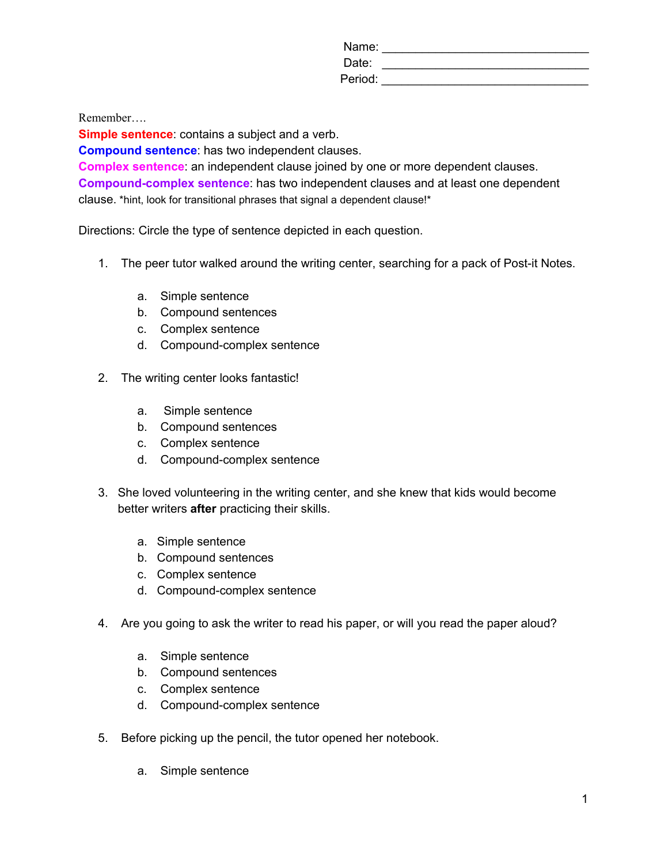Name: \_\_\_\_\_\_\_\_\_\_\_\_\_\_\_\_\_\_\_\_\_\_\_\_\_\_\_\_\_\_\_ Date: \_\_\_\_\_\_\_\_\_\_\_\_\_\_\_\_\_\_\_\_\_\_\_\_\_\_\_\_\_\_\_ Period: \_\_\_\_\_\_\_\_\_\_\_\_\_\_\_\_\_\_\_\_\_\_\_\_\_\_\_\_\_\_\_

Remember….

**Simple sentence:** contains a subject and a verb.

**Compound sentence**: has two independent clauses.

**Complex sentence**: an independent clause joined by one or more dependent clauses. **Compound-complex sentence**: has two independent clauses and at least one dependent clause. \*hint, look for transitional phrases that signal a dependent clause!\*

Directions: Circle the type of sentence depicted in each question.

- 1. The peer tutor walked around the writing center, searching for a pack of Post-it Notes.
	- a. Simple sentence
	- b. Compound sentences
	- c. Complex sentence
	- d. Compound-complex sentence
- 2. The writing center looks fantastic!
	- a. Simple sentence
	- b. Compound sentences
	- c. Complex sentence
	- d. Compound-complex sentence
- 3. She loved volunteering in the writing center, and she knew that kids would become better writers **after** practicing their skills.
	- a. Simple sentence
	- b. Compound sentences
	- c. Complex sentence
	- d. Compound-complex sentence
- 4. Are you going to ask the writer to read his paper, or will you read the paper aloud?
	- a. Simple sentence
	- b. Compound sentences
	- c. Complex sentence
	- d. Compound-complex sentence
- 5. Before picking up the pencil, the tutor opened her notebook.
	- a. Simple sentence